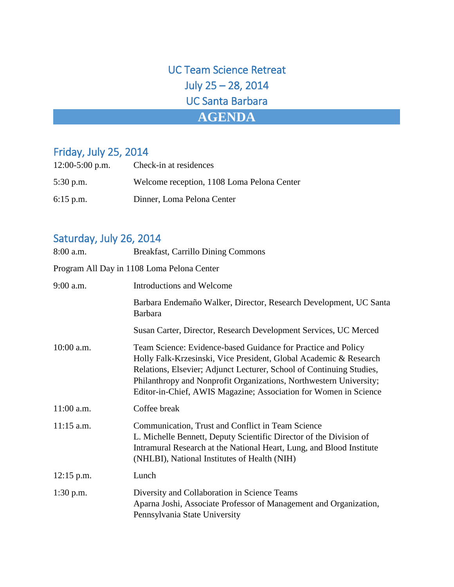UC Team Science Retreat July 25 – 28, 2014 UC Santa Barbara **AGENDA**

## Friday, July 25, 2014

| $12:00-5:00$ p.m. | Check-in at residences                     |
|-------------------|--------------------------------------------|
| $5:30$ p.m.       | Welcome reception, 1108 Loma Pelona Center |
| $6:15$ p.m.       | Dinner, Loma Pelona Center                 |

## Saturday, July 26, 2014

| 8:00 a.m.                                  | <b>Breakfast, Carrillo Dining Commons</b>                                                                                                                                                                                                                                                                                                            |  |  |  |
|--------------------------------------------|------------------------------------------------------------------------------------------------------------------------------------------------------------------------------------------------------------------------------------------------------------------------------------------------------------------------------------------------------|--|--|--|
| Program All Day in 1108 Loma Pelona Center |                                                                                                                                                                                                                                                                                                                                                      |  |  |  |
| $9:00$ a.m.                                | Introductions and Welcome                                                                                                                                                                                                                                                                                                                            |  |  |  |
|                                            | Barbara Endemaño Walker, Director, Research Development, UC Santa<br><b>Barbara</b>                                                                                                                                                                                                                                                                  |  |  |  |
|                                            | Susan Carter, Director, Research Development Services, UC Merced                                                                                                                                                                                                                                                                                     |  |  |  |
| $10:00$ a.m.                               | Team Science: Evidence-based Guidance for Practice and Policy<br>Holly Falk-Krzesinski, Vice President, Global Academic & Research<br>Relations, Elsevier; Adjunct Lecturer, School of Continuing Studies,<br>Philanthropy and Nonprofit Organizations, Northwestern University;<br>Editor-in-Chief, AWIS Magazine; Association for Women in Science |  |  |  |
| $11:00$ a.m.                               | Coffee break                                                                                                                                                                                                                                                                                                                                         |  |  |  |
| $11:15$ a.m.                               | Communication, Trust and Conflict in Team Science<br>L. Michelle Bennett, Deputy Scientific Director of the Division of<br>Intramural Research at the National Heart, Lung, and Blood Institute<br>(NHLBI), National Institutes of Health (NIH)                                                                                                      |  |  |  |
| $12:15$ p.m.                               | Lunch                                                                                                                                                                                                                                                                                                                                                |  |  |  |
| $1:30$ p.m.                                | Diversity and Collaboration in Science Teams<br>Aparna Joshi, Associate Professor of Management and Organization,<br>Pennsylvania State University                                                                                                                                                                                                   |  |  |  |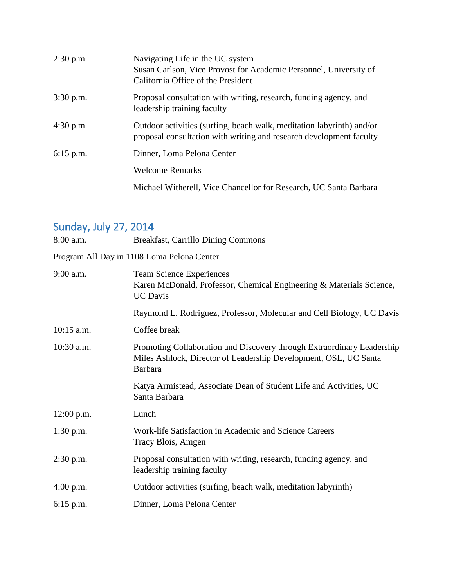| $2:30$ p.m. | Navigating Life in the UC system<br>Susan Carlson, Vice Provost for Academic Personnel, University of<br>California Office of the President  |
|-------------|----------------------------------------------------------------------------------------------------------------------------------------------|
| $3:30$ p.m. | Proposal consultation with writing, research, funding agency, and<br>leadership training faculty                                             |
| $4:30$ p.m. | Outdoor activities (surfing, beach walk, meditation labyrinth) and/or<br>proposal consultation with writing and research development faculty |
| $6:15$ p.m. | Dinner, Loma Pelona Center                                                                                                                   |
|             | <b>Welcome Remarks</b>                                                                                                                       |
|             | Michael Witherell, Vice Chancellor for Research, UC Santa Barbara                                                                            |

## Sunday, July 27, 2014

| 8:00 a.m.    | <b>Breakfast, Carrillo Dining Commons</b>                                                                                                                    |
|--------------|--------------------------------------------------------------------------------------------------------------------------------------------------------------|
|              | Program All Day in 1108 Loma Pelona Center                                                                                                                   |
| $9:00$ a.m.  | <b>Team Science Experiences</b><br>Karen McDonald, Professor, Chemical Engineering & Materials Science,<br><b>UC</b> Davis                                   |
|              | Raymond L. Rodriguez, Professor, Molecular and Cell Biology, UC Davis                                                                                        |
| $10:15$ a.m. | Coffee break                                                                                                                                                 |
| $10:30$ a.m. | Promoting Collaboration and Discovery through Extraordinary Leadership<br>Miles Ashlock, Director of Leadership Development, OSL, UC Santa<br><b>Barbara</b> |
|              | Katya Armistead, Associate Dean of Student Life and Activities, UC<br>Santa Barbara                                                                          |
| $12:00$ p.m. | Lunch                                                                                                                                                        |
| $1:30$ p.m.  | Work-life Satisfaction in Academic and Science Careers<br>Tracy Blois, Amgen                                                                                 |
| $2:30$ p.m.  | Proposal consultation with writing, research, funding agency, and<br>leadership training faculty                                                             |
| $4:00$ p.m.  | Outdoor activities (surfing, beach walk, meditation labyrinth)                                                                                               |
| $6:15$ p.m.  | Dinner, Loma Pelona Center                                                                                                                                   |